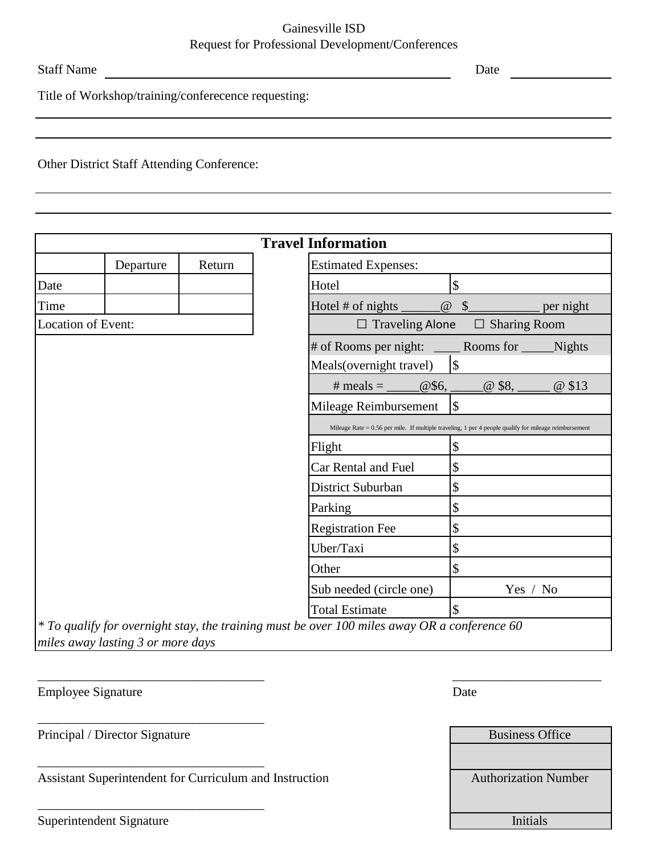## Gainesville ISD Request for Professional Development/Conferences

Staff Name Date Date Date Date

Title of Workshop/training/conferecence requesting:

Other District Staff Attending Conference:

| <b>Travel Information</b> |           |        |                                                                                                         |  |  |  |
|---------------------------|-----------|--------|---------------------------------------------------------------------------------------------------------|--|--|--|
|                           | Departure | Return | <b>Estimated Expenses:</b>                                                                              |  |  |  |
| Date                      |           |        | $\boldsymbol{\mathsf{S}}$<br>Hotel                                                                      |  |  |  |
| Time                      |           |        | $\boxed{a}$ \$<br>per night                                                                             |  |  |  |
| Location of Event:        |           |        | $\Box$ Traveling Alone $\Box$ Sharing Room                                                              |  |  |  |
|                           |           |        | # of Rooms per night: ________ Rooms for _________Nights<br>$\sqrt{3}$<br>Meals(overnight travel)       |  |  |  |
|                           |           |        | # meals = $@$6,$<br>@ \$13                                                                              |  |  |  |
|                           |           |        | $\sqrt{3}$<br>Mileage Reimbursement                                                                     |  |  |  |
|                           |           |        | Mileage Rate = $0.56$ per mile. If multiple traveling, 1 per 4 people qualify for mileage reimbursement |  |  |  |
|                           |           |        | $\boldsymbol{\mathsf{S}}$<br>Flight                                                                     |  |  |  |
|                           |           |        | \$<br>Car Rental and Fuel                                                                               |  |  |  |
|                           |           |        | \$<br>District Suburban                                                                                 |  |  |  |
|                           |           |        | \$<br>Parking                                                                                           |  |  |  |
|                           |           |        | \$<br><b>Registration Fee</b>                                                                           |  |  |  |
|                           |           |        | \$<br>Uber/Taxi                                                                                         |  |  |  |
|                           |           |        | $\boldsymbol{\mathsf{S}}$<br>Other                                                                      |  |  |  |
|                           |           |        | Sub needed (circle one)<br>Yes / No                                                                     |  |  |  |
|                           |           |        | $\sqrt{3}$<br><b>Total Estimate</b>                                                                     |  |  |  |
|                           |           |        | $*$ To qualify for overnight stay, the training must be over 100 miles away OR a conference 60          |  |  |  |

 $\overline{\phantom{a}}$  , and the contract of the contract of the contract of the contract of the contract of the contract of the contract of the contract of the contract of the contract of the contract of the contract of the contrac

*\* To qualify for overnight stay, the training must be over 100 miles away OR a conference 60 miles away lasting 3 or more days* 

Employee Signature Date

Principal / Director Signature

\_\_\_\_\_\_\_\_\_\_\_\_\_\_\_\_\_\_\_\_\_\_\_\_\_\_\_\_\_\_\_\_\_\_\_

\_\_\_\_\_\_\_\_\_\_\_\_\_\_\_\_\_\_\_\_\_\_\_\_\_\_\_\_\_\_\_\_\_\_\_

\_\_\_\_\_\_\_\_\_\_\_\_\_\_\_\_\_\_\_\_\_\_\_\_\_\_\_\_\_\_\_\_\_\_\_

Assistant Superintendent for Curriculum and Instruction

| <b>Business Office</b>      |  |
|-----------------------------|--|
|                             |  |
|                             |  |
| <b>Authorization Number</b> |  |
|                             |  |
|                             |  |
| <b>Initials</b>             |  |
|                             |  |

Superintendent Signature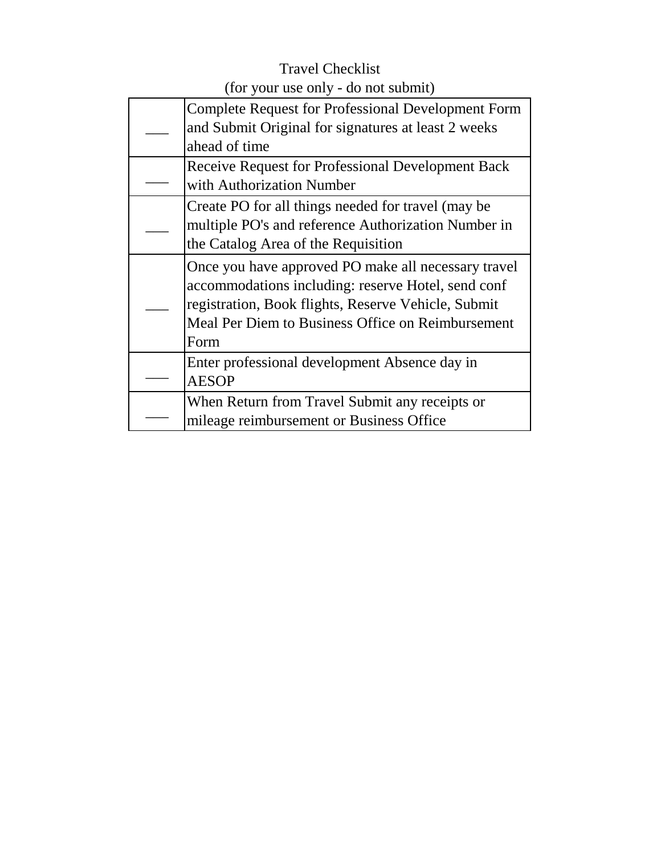## Travel Checklist (for your use only - do not submit)

| <b>Complete Request for Professional Development Form</b><br>and Submit Original for signatures at least 2 weeks<br>ahead of time                                                                                             |
|-------------------------------------------------------------------------------------------------------------------------------------------------------------------------------------------------------------------------------|
| <b>Receive Request for Professional Development Back</b><br>with Authorization Number                                                                                                                                         |
| Create PO for all things needed for travel (may be<br>multiple PO's and reference Authorization Number in<br>the Catalog Area of the Requisition                                                                              |
| Once you have approved PO make all necessary travel<br>accommodations including: reserve Hotel, send conf<br>registration, Book flights, Reserve Vehicle, Submit<br>Meal Per Diem to Business Office on Reimbursement<br>Form |
| Enter professional development Absence day in<br><b>AESOP</b>                                                                                                                                                                 |
| When Return from Travel Submit any receipts or<br>mileage reimbursement or Business Office                                                                                                                                    |